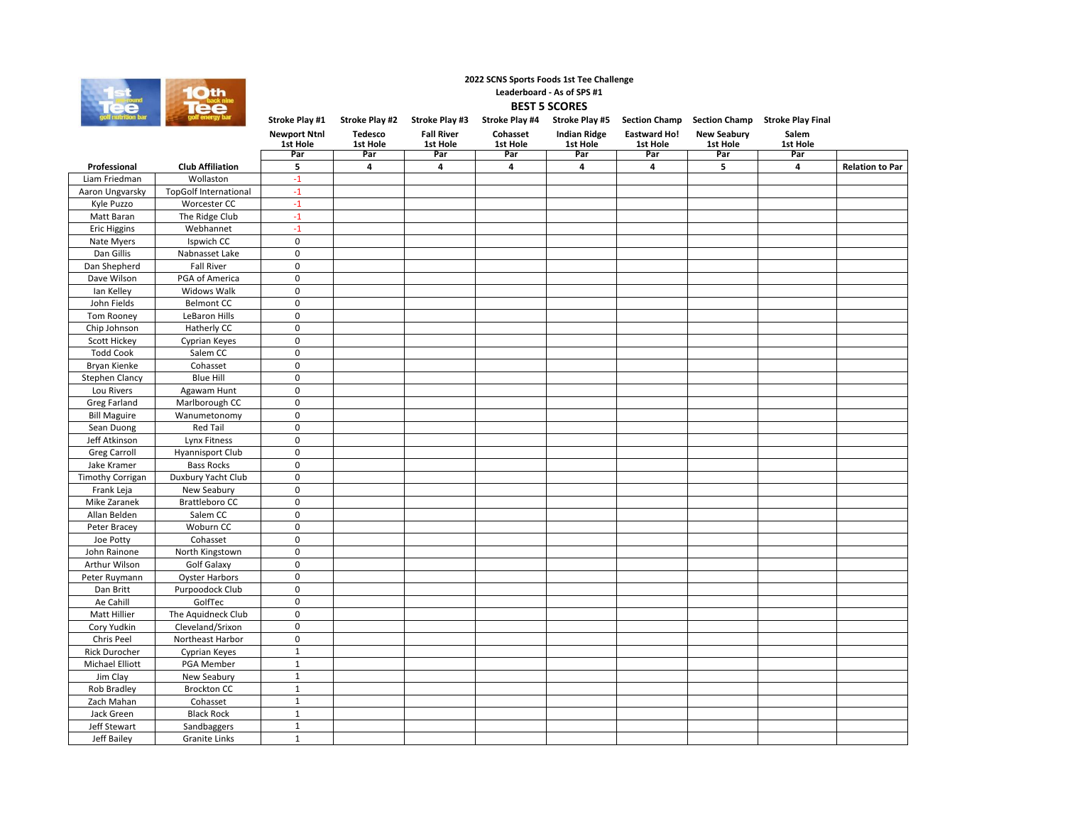

## **Stroke Play #1 Stroke Play #2 Stroke Play #3 Stroke Play #4 Stroke Play #5 Section Champ Section Champ Stroke Play Final Newport Ntnl Tedesco Fall River Cohasset Indian Ridge Eastward Ho! New Seabury** Salem<br>1st Hole **1st Hole 1st Hole 1st Hole 1st Hole 1st Hole 1st Hole 1st Hole 1st Hole Par Par Par Par Par Par Par Par Professional Club Affiliation 5 4 4 4 4 4 5 4 Relation to Par** Liam Friedman Wollaston -1<br>Aaron Ungvarsky TopGolf International -1 TopGolf International Kyle Puzzo Worcester CC -1 Matt Baran The Ridge Club -1<br>Eric Higgins Webhannet -1 Eric Higgins Webhannet -1<br>Nate Myers Ispwich CC 0 Ispwich CC Dan Gillis Nabnasset Lake 0 Dan Shepherd Fall River 0<br>Dave Wilson PGA of America 0 PGA of America Ian Kelley Midows Walk 1997<br>
John Fields Belmont CC 1997 Belmont CC Tom Rooney LeBaron Hills 0 Chip Johnson Hatherly CC 0 Scott Hickey **Cyprian Keyes 0**<br>Todd Cook 5alem CC 0 Todd Cook Bryan Kienke Cohasset 0<br>Stephen Clancy Blue Hill 0 Stephen Clancy Blue Hill 0 Lou Rivers | Agawam Hunt | 0 Greg Farland Marlborough CC 0<br>Bill Maguire Wanumetonomy 0 Wanumetonomy<br>Red Tail Sean Duong Red Tail 0 Jeff Atkinson | Lynx Fitness | 0 Greg Carroll Hyannisport Club 0 **2022 SCNS Sports Foods 1st Tee Challenge Leaderboard - As of SPS #1 BEST 5 SCORES**

| Jake Kramer             | <b>Bass Rocks</b>     | 0           |  |  |  |  |
|-------------------------|-----------------------|-------------|--|--|--|--|
| <b>Timothy Corrigan</b> | Duxbury Yacht Club    | $\mathbf 0$ |  |  |  |  |
| Frank Leja              | New Seabury           | $\mathbf 0$ |  |  |  |  |
| Mike Zaranek            | <b>Brattleboro CC</b> | $\mathbf 0$ |  |  |  |  |
| Allan Belden            | Salem CC              | $\mathbf 0$ |  |  |  |  |
| Peter Bracey            | Woburn CC             | $\mathbf 0$ |  |  |  |  |
| Joe Potty               | Cohasset              | $\mathbf 0$ |  |  |  |  |
| John Rainone            | North Kingstown       | $\mathbf 0$ |  |  |  |  |
| Arthur Wilson           | Golf Galaxy           | $\mathbf 0$ |  |  |  |  |
| Peter Ruymann           | Oyster Harbors        | $\mathbf 0$ |  |  |  |  |
| Dan Britt               | Purpoodock Club       | $\mathbf 0$ |  |  |  |  |
| Ae Cahill               | GolfTec               | 0           |  |  |  |  |
| Matt Hillier            | The Aquidneck Club    | $\Omega$    |  |  |  |  |
| Cory Yudkin             | Cleveland/Srixon      | $\mathbf 0$ |  |  |  |  |
| Chris Peel              | Northeast Harbor      | $\mathbf 0$ |  |  |  |  |
| Rick Durocher           | Cyprian Keyes         |             |  |  |  |  |
| Michael Elliott         | PGA Member            |             |  |  |  |  |
| Jim Clay                | New Seabury           |             |  |  |  |  |
| Rob Bradley             | <b>Brockton CC</b>    |             |  |  |  |  |
| Zach Mahan              | Cohasset              |             |  |  |  |  |
| Jack Green              | <b>Black Rock</b>     |             |  |  |  |  |
| Jeff Stewart            | Sandbaggers           |             |  |  |  |  |
| Jeff Bailey             | Granite Links         |             |  |  |  |  |